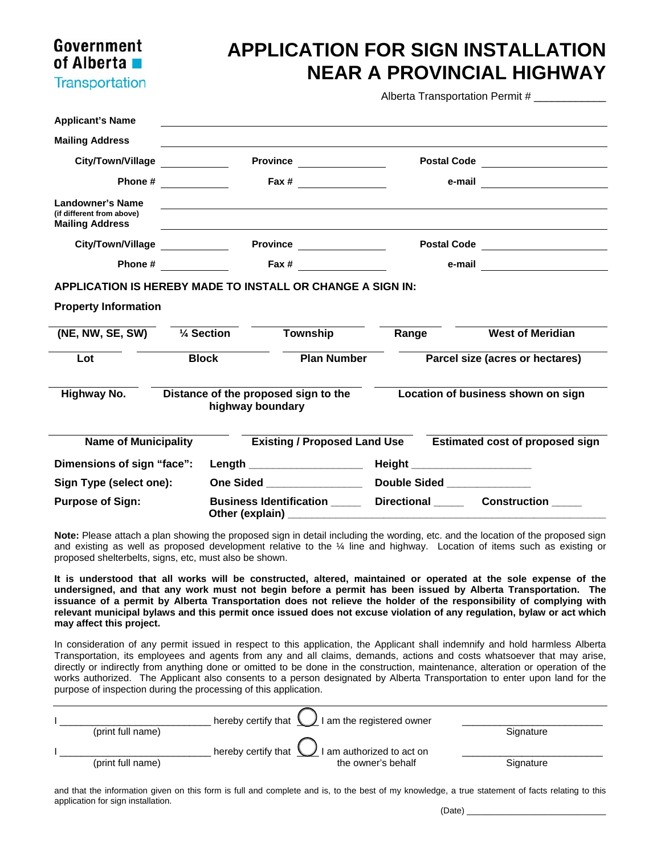## Government of Alberta **Transportation**

## **APPLICATION FOR SIGN INSTALLATION NEAR A PROVINCIAL HIGHWAY**

Alberta Transportation Permit #

| <b>Applicant's Name</b>                                                 |         |                                                   |                                      |                                        |                                                              |  |  |  |  |  |
|-------------------------------------------------------------------------|---------|---------------------------------------------------|--------------------------------------|----------------------------------------|--------------------------------------------------------------|--|--|--|--|--|
| <b>Mailing Address</b>                                                  |         |                                                   |                                      |                                        |                                                              |  |  |  |  |  |
| <b>City/Town/Village</b>                                                |         | Province                                          |                                      |                                        | Postal Code <u>__________________</u>                        |  |  |  |  |  |
|                                                                         | Phone # |                                                   |                                      |                                        | e-mail <u>_______________</u>                                |  |  |  |  |  |
| Landowner's Name<br>(if different from above)<br><b>Mailing Address</b> |         |                                                   |                                      |                                        |                                                              |  |  |  |  |  |
| City/Town/Village                                                       |         | Province _______________                          |                                      | Postal Code <u>___________________</u> |                                                              |  |  |  |  |  |
|                                                                         |         | Phone #                                           |                                      |                                        |                                                              |  |  |  |  |  |
| <b>APPLICATION IS HEREBY MADE TO INSTALL OR CHANGE A SIGN IN:</b>       |         |                                                   |                                      |                                        |                                                              |  |  |  |  |  |
| <b>Property Information</b>                                             |         |                                                   |                                      |                                        |                                                              |  |  |  |  |  |
| (NE, NW, SE, SW)                                                        |         | $\frac{1}{4}$ Section                             | Township                             | Range                                  | <b>West of Meridian</b>                                      |  |  |  |  |  |
| Lot                                                                     |         | <b>Block</b><br><b>Plan Number</b>                |                                      | Parcel size (acres or hectares)        |                                                              |  |  |  |  |  |
| Highway No.                                                             |         | highway boundary                                  | Distance of the proposed sign to the | Location of business shown on sign     |                                                              |  |  |  |  |  |
| <b>Name of Municipality</b>                                             |         |                                                   |                                      |                                        | Existing / Proposed Land Use Estimated cost of proposed sign |  |  |  |  |  |
| Dimensions of sign "face":                                              |         | Length _____________________                      |                                      | Height ______________________          |                                                              |  |  |  |  |  |
| Sign Type (select one):                                                 |         | One Sided _________________                       |                                      | Double Sided _____________             |                                                              |  |  |  |  |  |
| <b>Purpose of Sign:</b>                                                 |         | <b>Business Identification</b><br>Other (explain) |                                      | Directional Construction               |                                                              |  |  |  |  |  |

**Note:** Please attach a plan showing the proposed sign in detail including the wording, etc. and the location of the proposed sign and existing as well as proposed development relative to the ¼ line and highway. Location of items such as existing or proposed shelterbelts, signs, etc, must also be shown.

**It is understood that all works will be constructed, altered, maintained or operated at the sole expense of the undersigned, and that any work must not begin before a permit has been issued by Alberta Transportation. The issuance of a permit by Alberta Transportation does not relieve the holder of the responsibility of complying with relevant municipal bylaws and this permit once issued does not excuse violation of any regulation, bylaw or act which may affect this project.** 

In consideration of any permit issued in respect to this application, the Applicant shall indemnify and hold harmless Alberta Transportation, its employees and agents from any and all claims, demands, actions and costs whatsoever that may arise, directly or indirectly from anything done or omitted to be done in the construction, maintenance, alteration or operation of the works authorized. The Applicant also consents to a person designated by Alberta Transportation to enter upon land for the purpose of inspection during the processing of this application.

|  | hereby certify that $\bigcup$ I am the registered owner |                                                         |           |  |
|--|---------------------------------------------------------|---------------------------------------------------------|-----------|--|
|  | (print full name)                                       |                                                         | Signature |  |
|  |                                                         | hereby certify that $\bigcup$ I am authorized to act on |           |  |
|  | (print full name)                                       | the owner's behalf                                      | Signature |  |
|  |                                                         |                                                         |           |  |

and that the information given on this form is full and complete and is, to the best of my knowledge, a true statement of facts relating to this application for sign installation.